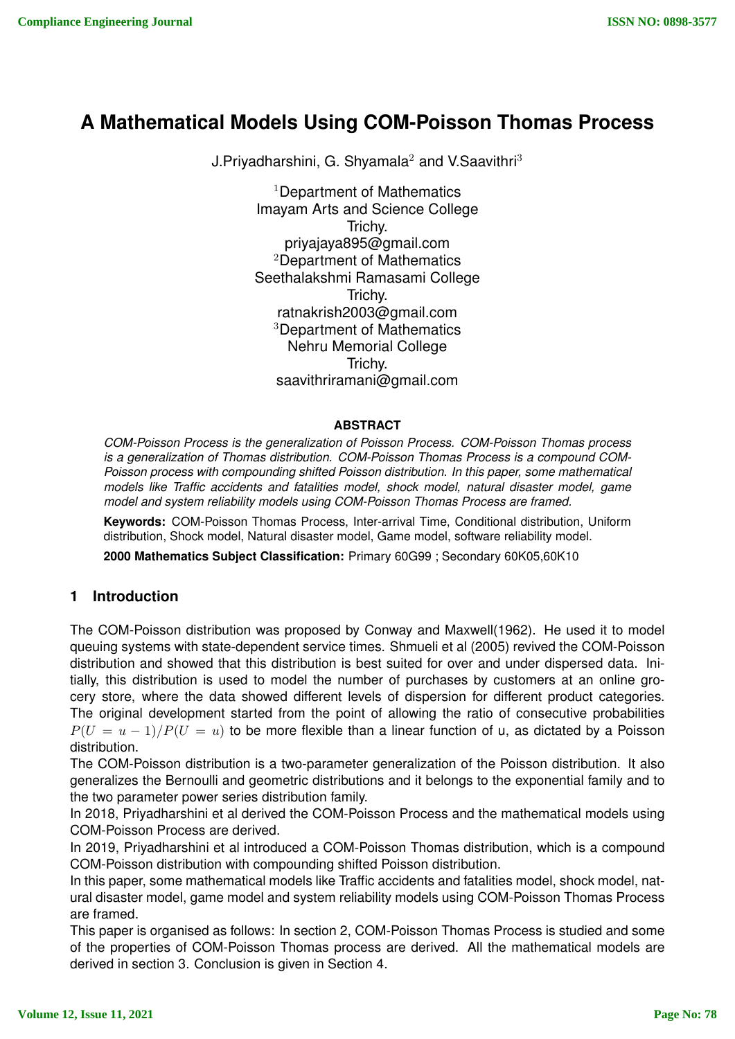# **A Mathematical Models Using COM-Poisson Thomas Process**

J.Priyadharshini, G. Shyamala<sup>2</sup> and V.Saavithri<sup>3</sup>

<sup>1</sup>Department of Mathematics Imayam Arts and Science College Trichy. priyajaya895@gmail.com <sup>2</sup>Department of Mathematics Seethalakshmi Ramasami College Trichy. ratnakrish2003@gmail.com <sup>3</sup>Department of Mathematics Nehru Memorial College Trichy. saavithriramani@gmail.com

### **ABSTRACT**

*COM-Poisson Process is the generalization of Poisson Process. COM-Poisson Thomas process is a generalization of Thomas distribution. COM-Poisson Thomas Process is a compound COM-Poisson process with compounding shifted Poisson distribution. In this paper, some mathematical models like Traffic accidents and fatalities model, shock model, natural disaster model, game model and system reliability models using COM-Poisson Thomas Process are framed.*

**Keywords:** COM-Poisson Thomas Process, Inter-arrival Time, Conditional distribution, Uniform distribution, Shock model, Natural disaster model, Game model, software reliability model.

**2000 Mathematics Subject Classification:** Primary 60G99 ; Secondary 60K05,60K10

# **1 Introduction**

The COM-Poisson distribution was proposed by Conway and Maxwell(1962). He used it to model queuing systems with state-dependent service times. Shmueli et al (2005) revived the COM-Poisson distribution and showed that this distribution is best suited for over and under dispersed data. Initially, this distribution is used to model the number of purchases by customers at an online grocery store, where the data showed different levels of dispersion for different product categories. The original development started from the point of allowing the ratio of consecutive probabilities  $P(U = u - 1)/P(U = u)$  to be more flexible than a linear function of u, as dictated by a Poisson distribution.

The COM-Poisson distribution is a two-parameter generalization of the Poisson distribution. It also generalizes the Bernoulli and geometric distributions and it belongs to the exponential family and to the two parameter power series distribution family.

In 2018, Priyadharshini et al derived the COM-Poisson Process and the mathematical models using COM-Poisson Process are derived.

In 2019, Priyadharshini et al introduced a COM-Poisson Thomas distribution, which is a compound COM-Poisson distribution with compounding shifted Poisson distribution.

In this paper, some mathematical models like Traffic accidents and fatalities model, shock model, natural disaster model, game model and system reliability models using COM-Poisson Thomas Process are framed.

This paper is organised as follows: In section 2, COM-Poisson Thomas Process is studied and some of the properties of COM-Poisson Thomas process are derived. All the mathematical models are derived in section 3. Conclusion is given in Section 4.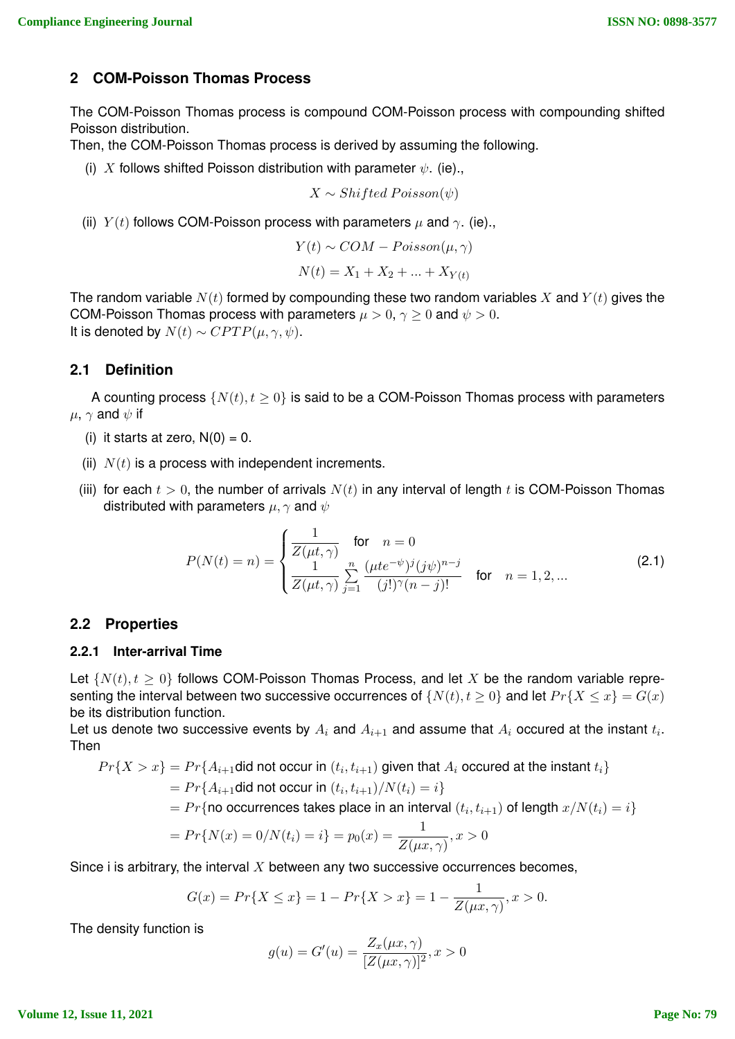# **2 COM-Poisson Thomas Process**

The COM-Poisson Thomas process is compound COM-Poisson process with compounding shifted Poisson distribution.

Then, the COM-Poisson Thomas process is derived by assuming the following.

(i) X follows shifted Poisson distribution with parameter  $\psi$ . (ie).,

$$
X \sim Shifted Poisson(\psi)
$$

(ii)  $Y(t)$  follows COM-Poisson process with parameters  $\mu$  and  $\gamma$ . (ie).,

$$
Y(t) \sim COM - Poisson(\mu, \gamma)
$$

$$
N(t) = X_1 + X_2 + \dots + X_{Y(t)}
$$

The random variable  $N(t)$  formed by compounding these two random variables X and  $Y(t)$  gives the COM-Poisson Thomas process with parameters  $\mu > 0$ ,  $\gamma \geq 0$  and  $\psi > 0$ . It is denoted by  $N(t) \sim CPTP(\mu, \gamma, \psi)$ .

# **2.1 Definition**

A counting process  $\{N(t), t \geq 0\}$  is said to be a COM-Poisson Thomas process with parameters  $\mu$ ,  $\gamma$  and  $\psi$  if

- (i) it starts at zero,  $N(0) = 0$ .
- (ii)  $N(t)$  is a process with independent increments.
- (iii) for each  $t > 0$ , the number of arrivals  $N(t)$  in any interval of length t is COM-Poisson Thomas distributed with parameters  $\mu, \gamma$  and  $\psi$

$$
P(N(t) = n) = \begin{cases} \frac{1}{Z(\mu t, \gamma)} & \text{for } n = 0\\ \frac{1}{Z(\mu t, \gamma)} \sum_{j=1}^{n} \frac{(\mu t e^{-\psi})^j (j\psi)^{n-j}}{(j!)^{\gamma} (n-j)!} & \text{for } n = 1, 2, ... \end{cases}
$$
(2.1)

## **2.2 Properties**

#### **2.2.1 Inter-arrival Time**

Let  $\{N(t), t \geq 0\}$  follows COM-Poisson Thomas Process, and let X be the random variable representing the interval between two successive occurrences of  $\{N(t), t \geq 0\}$  and let  $Pr\{X \leq x\} = G(x)$ be its distribution function.

Let us denote two successive events by  $A_i$  and  $A_{i+1}$  and assume that  $A_i$  occured at the instant  $t_i.$ Then

 $Pr\{X > x\} = Pr\{A_{i+1}$ did not occur in  $(t_i, t_{i+1})$  given that  $A_i$  occured at the instant  $t_i\}$ 

$$
= Pr{A_{i+1} \text{did not occur in } (t_i, t_{i+1})}/N(t_i) = i
$$

 $r = Pr\{\mathsf{no}\text{ occurrences takes place in an interval } (t_i, t_{i+1}) \text{ of length } x/N(t_i) = i\}$ 

$$
= Pr\{N(x) = 0/N(t_i) = i\} = p_0(x) = \frac{1}{Z(\mu x, \gamma)}, x > 0
$$

Since i is arbitrary, the interval  $X$  between any two successive occurrences becomes,

$$
G(x) = Pr\{X \le x\} = 1 - Pr\{X > x\} = 1 - \frac{1}{Z(\mu x, \gamma)}, x > 0.
$$

The density function is

$$
g(u) = G'(u) = \frac{Z_x(\mu x, \gamma)}{[Z(\mu x, \gamma)]^2}, x > 0
$$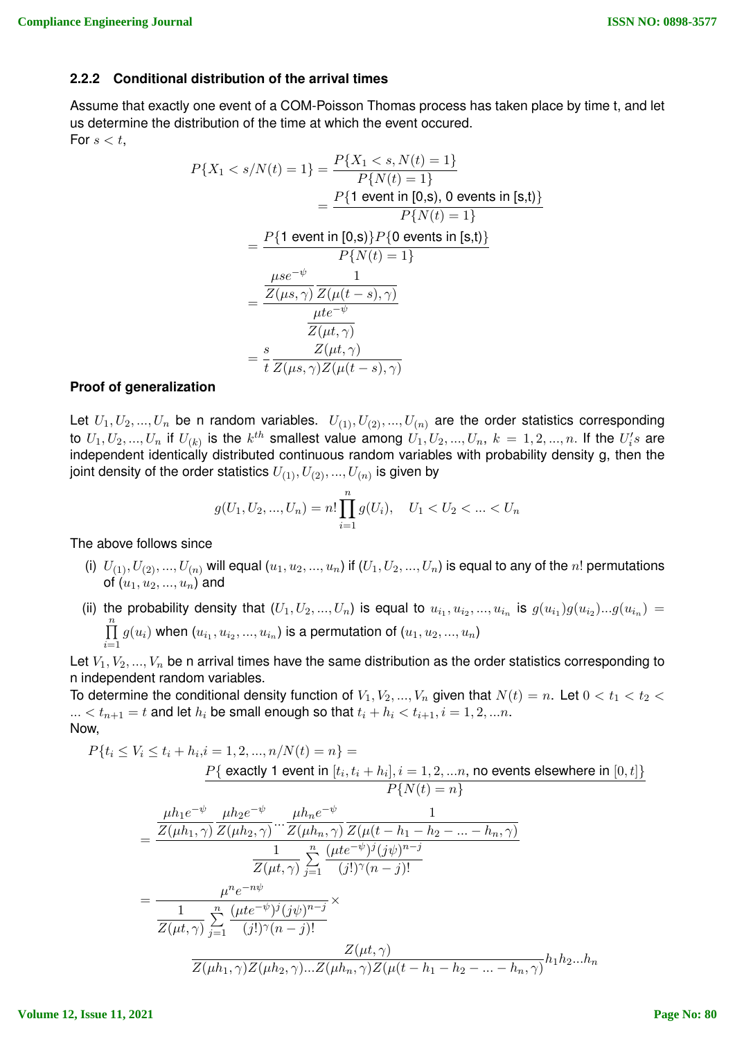### **2.2.2 Conditional distribution of the arrival times**

Assume that exactly one event of a COM-Poisson Thomas process has taken place by time t, and let us determine the distribution of the time at which the event occured. For  $s < t$ ,

$$
P\{X_1 < s/N(t) = 1\} = \frac{P\{X_1 < s, N(t) = 1\}}{P\{N(t) = 1\}}
$$
\n
$$
= \frac{P\{\text{1 event in [0,s), 0 events in [s,t)}\}}{P\{N(t) = 1\}}
$$
\n
$$
= \frac{P\{\text{1 event in [0,s)}\}P\{\text{0 events in [s,t)}\}}{P\{N(t) = 1\}}
$$
\n
$$
= \frac{\mu s e^{-\psi} - 1}{\frac{\mu t e^{-\psi}}{Z(\mu t, \gamma)}}
$$
\n
$$
= \frac{s}{t} \frac{Z(\mu t, \gamma)}{Z(\mu t, \gamma)}
$$

### **Proof of generalization**

Let  $U_1, U_2, ..., U_n$  be n random variables.  $U_{(1)}, U_{(2)}, ..., U_{(n)}$  are the order statistics corresponding to  $U_1,U_2,...,U_n$  if  $U_{(k)}$  is the  $k^{th}$  smallest value among  $U_1,U_2,...,U_n,~k=1,2,...,n.$  If the  $U_i's$  are independent identically distributed continuous random variables with probability density g, then the joint density of the order statistics  $U_{(1)},U_{(2)},...,U_{(n)}$  is given by

$$
g(U_1, U_2, ..., U_n) = n! \prod_{i=1}^{n} g(U_i), \quad U_1 < U_2 < ... < U_n
$$

The above follows since

- (i)  $U_{(1)}, U_{(2)}, ..., U_{(n)}$  will equal  $(u_1, u_2, ..., u_n)$  if  $(U_1, U_2, ..., U_n)$  is equal to any of the n! permutations of  $(u_1, u_2, ..., u_n)$  and
- (ii) the probability density that  $(U_1, U_2, ..., U_n)$  is equal to  $u_{i_1}, u_{i_2}, ..., u_{i_n}$  is  $g(u_{i_1})g(u_{i_2})...g(u_{i_n}) =$  $\prod_{i=1}^{n}$  $\prod\limits_{i=1} g(u_i)$  when  $(u_{i_1},u_{i_2},...,u_{i_n})$  is a permutation of  $(u_1,u_2,...,u_n)$

Let  $V_1, V_2, ..., V_n$  be n arrival times have the same distribution as the order statistics corresponding to n independent random variables.

To determine the conditional density function of  $V_1, V_2, ..., V_n$  given that  $N(t) = n$ . Let  $0 < t_1 < t_2 <$  $\ldots < t_{n+1} = t$  and let  $h_i$  be small enough so that  $t_i + h_i < t_{i+1}, i = 1, 2, \ldots n$ . Now,

$$
P\{t_i \le V_i \le t_i + h_i, i = 1, 2, ..., n/N(t) = n\} =
$$
\n
$$
\frac{P\{\text{ exactly 1 event in } [t_i, t_i + h_i], i = 1, 2, ..., n, \text{ no events elsewhere in } [0, t]\}}{P\{N(t) = n\}}
$$
\n
$$
= \frac{\frac{\mu h_1 e^{-\psi}}{Z(\mu h_1, \gamma)} \frac{\mu h_2 e^{-\psi}}{Z(\mu h_2, \gamma)} \dots \frac{\mu h_n e^{-\psi}}{Z(\mu h_n, \gamma)} \frac{1}{Z(\mu(t - h_1 - h_2 - ... - h_n, \gamma)}}{Z(\mu t, \gamma) \sum_{j=1}^n \frac{(\mu t e^{-\psi})^j (j\psi)^{n-j}}{(j!)^\gamma (n-j)!}}
$$
\n
$$
= \frac{\mu^n e^{-n\psi}}{\frac{1}{Z(\mu t, \gamma)} \sum_{j=1}^n \frac{(\mu t e^{-\psi})^j (j\psi)^{n-j}}{(j!)^\gamma (n-j)!}} \times \frac{Z(\mu t, \gamma)}{Z(\mu h_1, \gamma) Z(\mu h_2, \gamma) \dots Z(\mu h_n, \gamma) Z(\mu(t - h_1 - h_2 - ... - h_n, \gamma)} h_1 h_2 ... h_n}
$$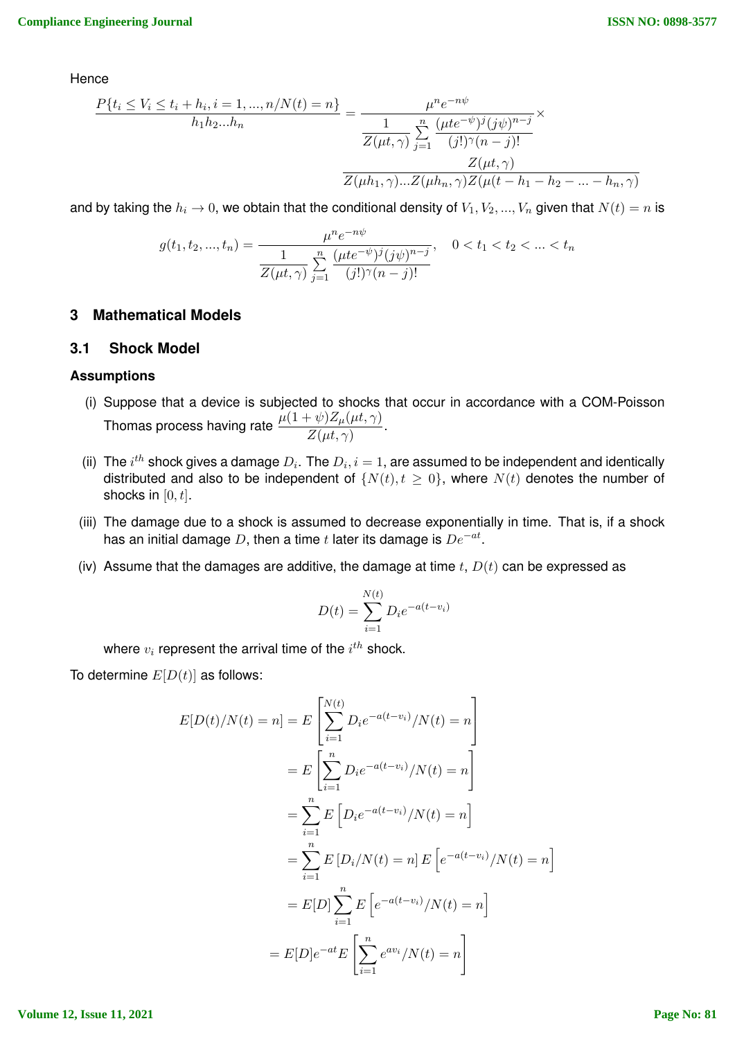**Hence** 

$$
\frac{P\{t_i \le V_i \le t_i + h_i, i = 1, ..., n/N(t) = n\}}{h_1 h_2 ... h_n} = \frac{\mu^n e^{-n\psi}}{\frac{1}{Z(\mu t, \gamma)} \sum_{j=1}^n \frac{(\mu t e^{-\psi})^j (j\psi)^{n-j}}{(j!)^\gamma (n-j)!}} \times \frac{Z(\mu t, \gamma)}{Z(\mu h_1, \gamma) ... Z(\mu h_n, \gamma) Z(\mu (t - h_1 - h_2 - ... - h_n, \gamma)}
$$

and by taking the  $h_i \to 0$ , we obtain that the conditional density of  $V_1, V_2, ..., V_n$  given that  $N(t) = n$  is

$$
g(t_1, t_2, ..., t_n) = \frac{\mu^n e^{-n\psi}}{\frac{1}{Z(\mu t, \gamma)} \sum_{j=1}^n \frac{(\mu t e^{-\psi})^j (j\psi)^{n-j}}{(j!)^{\gamma} (n-j)!}}, \quad 0 < t_1 < t_2 < ... < t_n
$$

# **3 Mathematical Models**

# **3.1 Shock Model**

#### **Assumptions**

- (i) Suppose that a device is subjected to shocks that occur in accordance with a COM-Poisson Thomas process having rate  $\displaystyle{\frac{\mu (1+\psi) Z_{\mu} (\mu t, \gamma)}{Z (\mu t, \gamma)}}.$
- (ii) The  $i^{th}$  shock gives a damage  $D_i$ . The  $D_i$ ,  $i = 1$ , are assumed to be independent and identically distributed and also to be independent of  $\{N(t), t \geq 0\}$ , where  $N(t)$  denotes the number of shocks in  $[0, t]$ .
- (iii) The damage due to a shock is assumed to decrease exponentially in time. That is, if a shock has an initial damage  $D,$  then a time  $t$  later its damage is  $De^{-at}.$
- (iv) Assume that the damages are additive, the damage at time  $t$ ,  $D(t)$  can be expressed as

$$
D(t) = \sum_{i=1}^{N(t)} D_i e^{-a(t - v_i)}
$$

where  $v_i$  represent the arrival time of the  $i^{th}$  shock.

To determine  $E[D(t)]$  as follows:

$$
E[D(t)/N(t) = n] = E\left[\sum_{i=1}^{N(t)} D_i e^{-a(t-v_i)}/N(t) = n\right]
$$

$$
= E\left[\sum_{i=1}^{n} D_i e^{-a(t-v_i)}/N(t) = n\right]
$$

$$
= \sum_{i=1}^{n} E\left[D_i e^{-a(t-v_i)}/N(t) = n\right]
$$

$$
= \sum_{i=1}^{n} E[D_i/N(t) = n] E\left[e^{-a(t-v_i)}/N(t) = n\right]
$$

$$
= E[D] \sum_{i=1}^{n} E\left[e^{-a(t-v_i)}/N(t) = n\right]
$$

$$
= E[D] e^{-at} E\left[\sum_{i=1}^{n} e^{av_i}/N(t) = n\right]
$$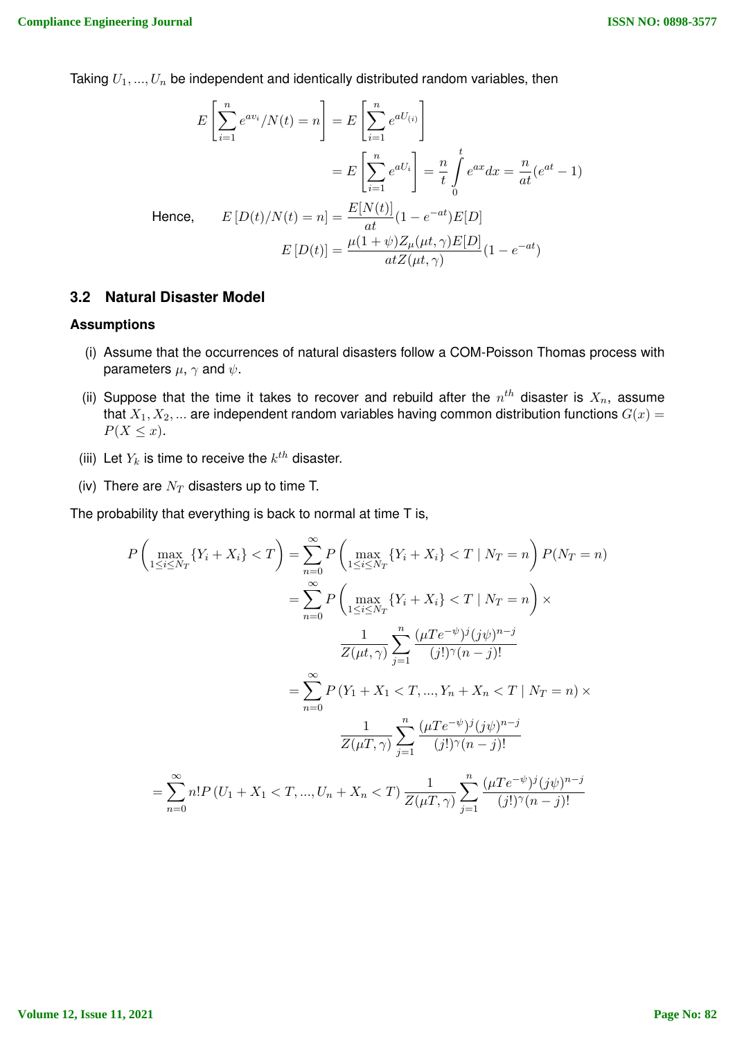Taking  $U_1, ..., U_n$  be independent and identically distributed random variables, then

$$
E\left[\sum_{i=1}^{n} e^{av_i}/N(t) = n\right] = E\left[\sum_{i=1}^{n} e^{aU_{(i)}}\right]
$$

$$
= E\left[\sum_{i=1}^{n} e^{aU_i}\right] = \frac{n}{t} \int_{0}^{t} e^{ax} dx = \frac{n}{at} (e^{at} - 1)
$$
Hence, 
$$
E\left[D(t)/N(t) = n\right] = \frac{E[N(t)]}{at} (1 - e^{-at}) E[D]
$$

$$
E\left[D(t)\right] = \frac{\mu(1 + \psi)Z_{\mu}(\mu t, \gamma)E[D]}{atZ(\mu t, \gamma)} (1 - e^{-at})
$$

# **3.2 Natural Disaster Model**

#### **Assumptions**

- (i) Assume that the occurrences of natural disasters follow a COM-Poisson Thomas process with parameters  $\mu$ ,  $\gamma$  and  $\psi$ .
- (ii) Suppose that the time it takes to recover and rebuild after the  $n^{th}$  disaster is  $X_n$ , assume that  $X_1, X_2, ...$  are independent random variables having common distribution functions  $G(x) =$  $P(X \leq x)$ .
- (iii) Let  $Y_k$  is time to receive the  $k^{th}$  disaster.
- (iv) There are  $N_T$  disasters up to time T.

The probability that everything is back to normal at time T is,

$$
P\left(\max_{1\leq i\leq N_T} \{Y_i + X_i\} < T\right) = \sum_{n=0}^{\infty} P\left(\max_{1\leq i\leq N_T} \{Y_i + X_i\} < T \mid N_T = n\right) P(N_T = n)
$$
\n
$$
= \sum_{n=0}^{\infty} P\left(\max_{1\leq i\leq N_T} \{Y_i + X_i\} < T \mid N_T = n\right) \times
$$
\n
$$
\frac{1}{Z(\mu t, \gamma)} \sum_{j=1}^n \frac{(\mu T e^{-\psi})^j (j\psi)^{n-j}}{(j!)^\gamma (n-j)!}
$$
\n
$$
= \sum_{n=0}^{\infty} P\left(Y_1 + X_1 < T, ..., Y_n + X_n < T \mid N_T = n\right) \times
$$
\n
$$
\frac{1}{Z(\mu T, \gamma)} \sum_{j=1}^n \frac{(\mu T e^{-\psi})^j (j\psi)^{n-j}}{(j!)^\gamma (n-j)!}
$$
\n
$$
= \sum_{n=0}^{\infty} n! P\left(U_1 + X_1 < T, ..., U_n + X_n < T\right) \frac{1}{Z(\mu T, \gamma)} \sum_{j=1}^n \frac{(\mu T e^{-\psi})^j (j\psi)^{n-j}}{(j!)^\gamma (n-j)!}
$$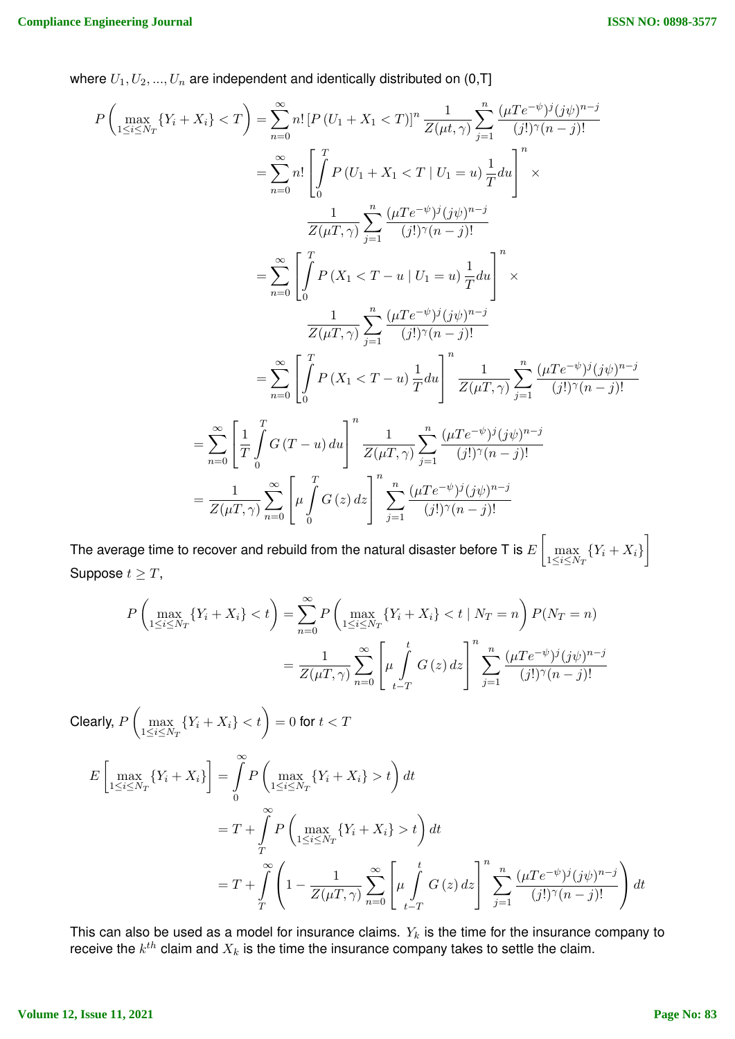where  $U_1, U_2, ..., U_n$  are independent and identically distributed on (0,T]

$$
P\left(\max_{1\leq i\leq N_T} \{Y_i + X_i\} < T\right) = \sum_{n=0}^{\infty} n! \left[P\left(U_1 + X_1 < T\right)\right]^n \frac{1}{Z(\mu t, \gamma)} \sum_{j=1}^n \frac{(\mu T e^{-\psi})^j (j\psi)^{n-j}}{(j!)^{\gamma}(n-j)!}
$$
\n
$$
= \sum_{n=0}^{\infty} n! \left[\int_0^T P\left(U_1 + X_1 < T \mid U_1 = u\right) \frac{1}{T} du\right]^n \times
$$
\n
$$
\frac{1}{Z(\mu T, \gamma)} \sum_{j=1}^n \frac{(\mu T e^{-\psi})^j (j\psi)^{n-j}}{(j!)^{\gamma}(n-j)!}
$$
\n
$$
= \sum_{n=0}^{\infty} \left[\int_0^T P\left(X_1 < T - u \mid U_1 = u\right) \frac{1}{T} du\right]^n \times
$$
\n
$$
\frac{1}{Z(\mu T, \gamma)} \sum_{j=1}^n \frac{(\mu T e^{-\psi})^j (j\psi)^{n-j}}{(j!)^{\gamma}(n-j)!}
$$
\n
$$
= \sum_{n=0}^{\infty} \left[\int_0^T P\left(X_1 < T - u\right) \frac{1}{T} du\right]^n \frac{1}{Z(\mu T, \gamma)} \sum_{j=1}^n \frac{(\mu T e^{-\psi})^j (j\psi)^{n-j}}{(j!)^{\gamma}(n-j)!}
$$
\n
$$
= \sum_{n=0}^{\infty} \left[\frac{1}{T} \int_0^T G\left(T - u\right) du\right]^n \frac{1}{Z(\mu T, \gamma)} \sum_{j=1}^n \frac{(\mu T e^{-\psi})^j (j\psi)^{n-j}}{(j!)^{\gamma}(n-j)!}
$$
\n
$$
= \frac{1}{Z(\mu T, \gamma)} \sum_{n=0}^{\infty} \left[\mu \int_0^T G\left(z\right) dz\right]^n \sum_{j=1}^n \frac{(\mu T e^{-\psi})^j (j\psi)^{n-j}}{(j!)^{\gamma}(n-j)!}
$$

The average time to recover and rebuild from the natural disaster before T is  $E\left[\max\limits_{1\leq i\leq N_T}\{Y_i+X_i\}\right]$ Suppose  $t \geq T$ ,

$$
P\left(\max_{1 \le i \le N_T} \{Y_i + X_i\} < t\right) = \sum_{n=0}^{\infty} P\left(\max_{1 \le i \le N_T} \{Y_i + X_i\} < t \mid N_T = n\right) P(N_T = n)
$$
\n
$$
= \frac{1}{Z(\mu T, \gamma)} \sum_{n=0}^{\infty} \left[\mu \int_{t-T}^{t} G(z) \, dz\right]^n \sum_{j=1}^n \frac{(\mu T e^{-\psi})^j (j\psi)^{n-j}}{(j!)^{\gamma}(n-j)!}
$$

Clearly,  $P\left(\max_{1\leq i\leq N_T}\{Y_i+X_i\} for  $t< T$$ 

$$
E\left[\max_{1\leq i\leq N_T} \{Y_i + X_i\}\right] = \int_0^\infty P\left(\max_{1\leq i\leq N_T} \{Y_i + X_i\} > t\right) dt
$$
  

$$
= T + \int_T^\infty P\left(\max_{1\leq i\leq N_T} \{Y_i + X_i\} > t\right) dt
$$
  

$$
= T + \int_T^\infty \left(1 - \frac{1}{Z(\mu T, \gamma)} \sum_{n=0}^\infty \left[\mu \int_{t-T}^t G(z) dz\right]^n \sum_{j=1}^n \frac{(\mu T e^{-\psi})^j (j\psi)^{n-j}}{(j!)^\gamma (n-j)!}\right) dt
$$

This can also be used as a model for insurance claims.  $Y_k$  is the time for the insurance company to receive the  $k^{th}$  claim and  $X_k$  is the time the insurance company takes to settle the claim.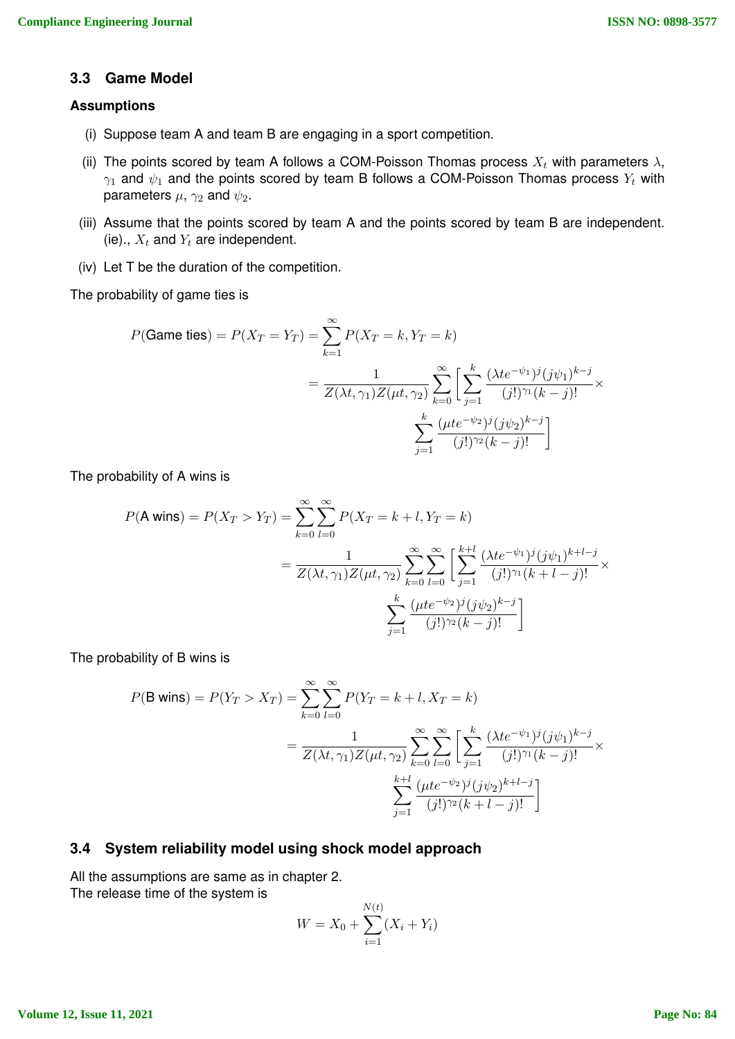# **3.3 Game Model**

### **Assumptions**

- (i) Suppose team A and team B are engaging in a sport competition.
- (ii) The points scored by team A follows a COM-Poisson Thomas process  $X_t$  with parameters  $\lambda$ ,  $\gamma_1$  and  $\psi_1$  and the points scored by team B follows a COM-Poisson Thomas process  $Y_t$  with parameters  $\mu$ ,  $\gamma_2$  and  $\psi_2$ .
- (iii) Assume that the points scored by team A and the points scored by team B are independent. (ie).,  $X_t$  and  $Y_t$  are independent.
- (iv) Let T be the duration of the competition.

The probability of game ties is

$$
P(\text{Game ties}) = P(X_T = Y_T) = \sum_{k=1}^{\infty} P(X_T = k, Y_T = k)
$$
  
= 
$$
\frac{1}{Z(\lambda t, \gamma_1)Z(\mu t, \gamma_2)} \sum_{k=0}^{\infty} \left[ \sum_{j=1}^{k} \frac{(\lambda t e^{-\psi_1})^j (j\psi_1)^{k-j}}{(j!)^{\gamma_1} (k-j)!} \times \frac{k}{\sum_{j=1}^{k} \frac{(\mu t e^{-\psi_2})^j (j\psi_2)^{k-j}}{(j!)^{\gamma_2} (k-j)!}} \right]
$$

The probability of A wins is

$$
P(\mathbf{A wins}) = P(X_T > Y_T) = \sum_{k=0}^{\infty} \sum_{l=0}^{\infty} P(X_T = k + l, Y_T = k)
$$
  
= 
$$
\frac{1}{Z(\lambda t, \gamma_1)Z(\mu t, \gamma_2)} \sum_{k=0}^{\infty} \sum_{l=0}^{\infty} \left[ \sum_{j=1}^{k+l} \frac{(\lambda t e^{-\psi_1})^j (j\psi_1)^{k+l-j}}{(j!)^{\gamma_1} (k+l-j)!} \times \frac{k}{j!} \frac{(\mu t e^{-\psi_2})^j (j\psi_2)^{k-j}}{(j!)^{\gamma_2} (k-j)!} \right]
$$

The probability of B wins is

$$
P(\mathbf{B wins}) = P(Y_T > X_T) = \sum_{k=0}^{\infty} \sum_{l=0}^{\infty} P(Y_T = k + l, X_T = k)
$$
  
= 
$$
\frac{1}{Z(\lambda t, \gamma_1)Z(\mu t, \gamma_2)} \sum_{k=0}^{\infty} \sum_{l=0}^{\infty} \left[ \sum_{j=1}^{k} \frac{(\lambda t e^{-\psi_1})^j (j\psi_1)^{k-j}}{(j!)^{\gamma_1} (k-j)!} \right]
$$
  

$$
\sum_{j=1}^{k+l} \frac{(\mu t e^{-\psi_2})^j (j\psi_2)^{k+l-j}}{(j!)^{\gamma_2} (k+l-j)!}
$$

### **3.4 System reliability model using shock model approach**

All the assumptions are same as in chapter 2. The release time of the system is

$$
W = X_0 + \sum_{i=1}^{N(t)} (X_i + Y_i)
$$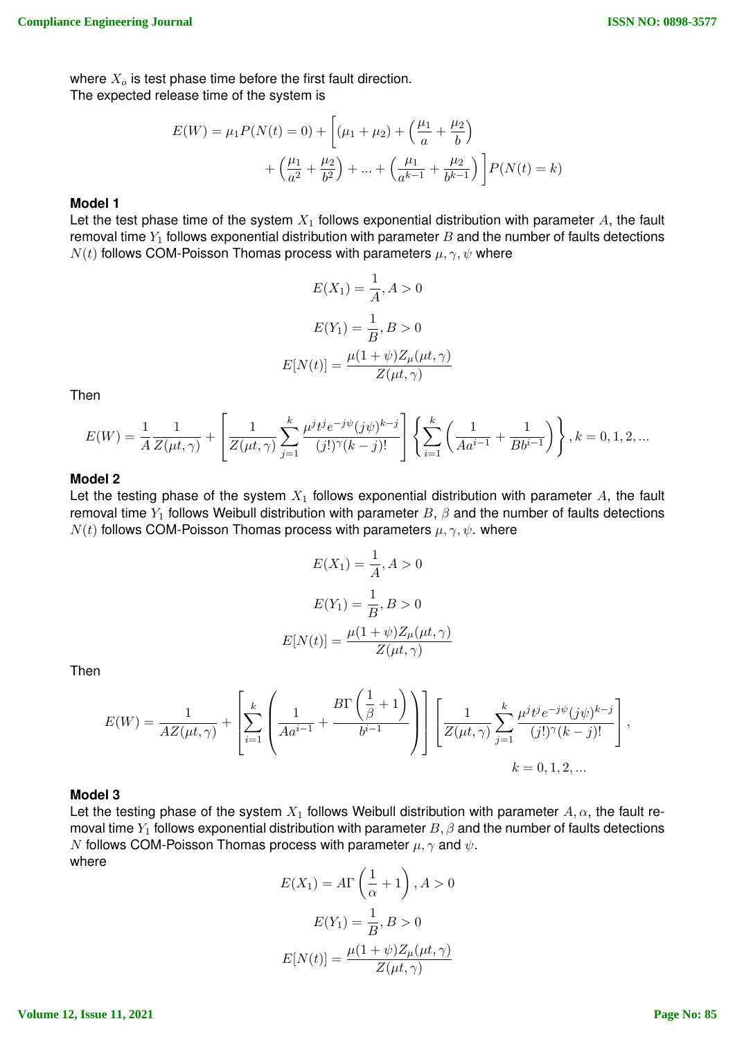where  $X<sub>o</sub>$  is test phase time before the first fault direction. The expected release time of the system is

$$
E(W) = \mu_1 P(N(t) = 0) + \left[ (\mu_1 + \mu_2) + \left( \frac{\mu_1}{a} + \frac{\mu_2}{b} \right) + \left( \frac{\mu_1}{a^2} + \frac{\mu_2}{b^2} \right) + \dots + \left( \frac{\mu_1}{a^{k-1}} + \frac{\mu_2}{b^{k-1}} \right) \right] P(N(t) = k)
$$

### **Model 1**

Let the test phase time of the system  $X_1$  follows exponential distribution with parameter A, the fault removal time  $Y_1$  follows exponential distribution with parameter  $B$  and the number of faults detections  $N(t)$  follows COM-Poisson Thomas process with parameters  $\mu, \gamma, \psi$  where

$$
E(X_1) = \frac{1}{A}, A > 0
$$

$$
E(Y_1) = \frac{1}{B}, B > 0
$$

$$
E[N(t)] = \frac{\mu(1+\psi)Z_\mu(\mu t, \gamma)}{Z(\mu t, \gamma)}
$$

Then

$$
E(W) = \frac{1}{A} \frac{1}{Z(\mu t, \gamma)} + \left[ \frac{1}{Z(\mu t, \gamma)} \sum_{j=1}^{k} \frac{\mu^{j} t^{j} e^{-j\psi} (j\psi)^{k-j}}{(j!)^{\gamma} (k-j)!} \right] \left\{ \sum_{i=1}^{k} \left( \frac{1}{Aa^{i-1}} + \frac{1}{Bb^{i-1}} \right) \right\}, k = 0, 1, 2, \dots
$$

# **Model 2**

Let the testing phase of the system  $X_1$  follows exponential distribution with parameter A, the fault removal time  $Y_1$  follows Weibull distribution with parameter B,  $\beta$  and the number of faults detections  $N(t)$  follows COM-Poisson Thomas process with parameters  $\mu, \gamma, \psi$ . where

$$
E(X_1) = \frac{1}{A}, A > 0
$$

$$
E(Y_1) = \frac{1}{B}, B > 0
$$

$$
E[N(t)] = \frac{\mu(1+\psi)Z_\mu(\mu t, \gamma)}{Z(\mu t, \gamma)}
$$

Then

$$
E(W) = \frac{1}{AZ(\mu t, \gamma)} + \left[\sum_{i=1}^k \left(\frac{1}{Aa^{i-1}} + \frac{B\Gamma\left(\frac{1}{\beta} + 1\right)}{b^{i-1}}\right)\right] \left[\frac{1}{Z(\mu t, \gamma)} \sum_{j=1}^k \frac{\mu^j t^j e^{-j\psi}(j\psi)^{k-j}}{(j!)^{\gamma}(k-j)!}\right],
$$
  

$$
k = 0, 1, 2, ...
$$

## **Model 3**

Let the testing phase of the system  $X_1$  follows Weibull distribution with parameter  $A, \alpha$ , the fault removal time  $Y_1$  follows exponential distribution with parameter  $B, \beta$  and the number of faults detections N follows COM-Poisson Thomas process with parameter  $\mu, \gamma$  and  $\psi$ . where

 $E(X_1) = A\Gamma\left(\frac{1}{2}\right)$  $\left(\frac{1}{\alpha}+1\right)$ ,  $A>0$  $E(Y_1) = \frac{1}{B}, B > 0$  $E[N(t)] = \frac{\mu(1+\psi)Z_{\mu}(\mu t,\gamma)}{Z(\mu t,\gamma)}$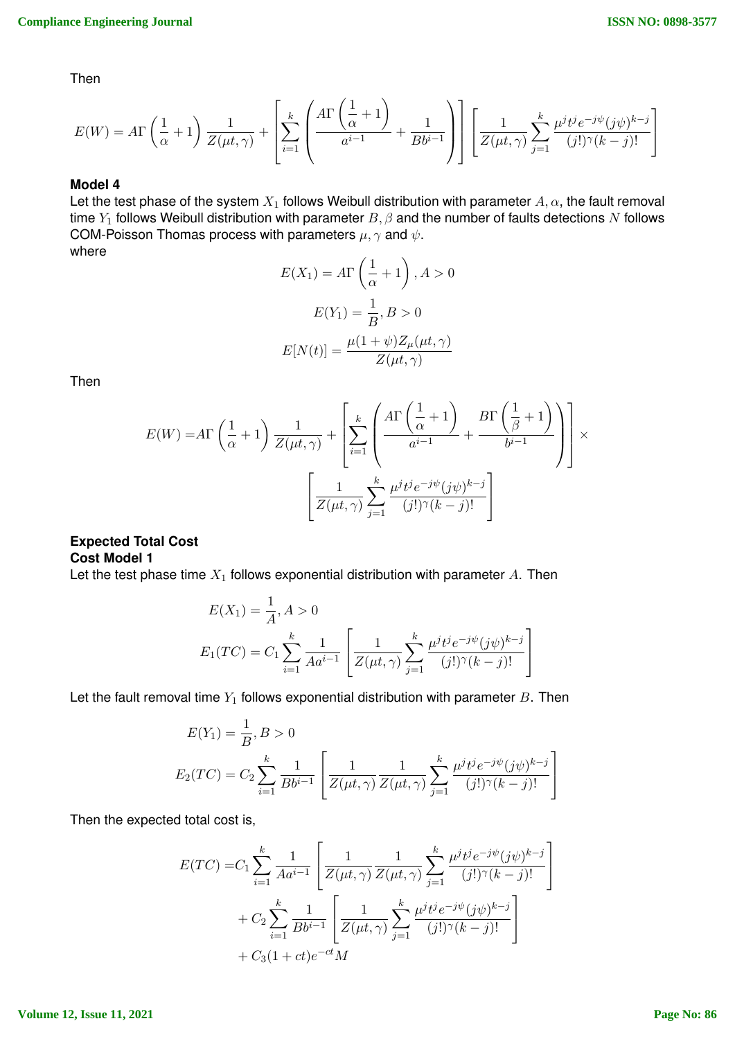Then

$$
E(W) = A\Gamma\left(\frac{1}{\alpha} + 1\right)\frac{1}{Z(\mu t, \gamma)} + \left[\sum_{i=1}^{k} \left(\frac{A\Gamma\left(\frac{1}{\alpha} + 1\right)}{a^{i-1}} + \frac{1}{Bb^{i-1}}\right)\right] \left[\frac{1}{Z(\mu t, \gamma)} \sum_{j=1}^{k} \frac{\mu^{j} t^{j} e^{-j\psi}(j\psi)^{k-j}}{(j!)^{\gamma}(k-j)!}\right]
$$

# **Model 4**

Let the test phase of the system  $X_1$  follows Weibull distribution with parameter  $A, \alpha$ , the fault removal time  $Y_1$  follows Weibull distribution with parameter  $B, \beta$  and the number of faults detections N follows COM-Poisson Thomas process with parameters  $\mu, \gamma$  and  $\psi$ . where

$$
E(X_1) = A\Gamma\left(\frac{1}{\alpha} + 1\right), A > 0
$$

$$
E(Y_1) = \frac{1}{B}, B > 0
$$

$$
E[N(t)] = \frac{\mu(1 + \psi)Z_\mu(\mu t, \gamma)}{Z(\mu t, \gamma)}
$$

Then

$$
E(W) = A\Gamma\left(\frac{1}{\alpha} + 1\right) \frac{1}{Z(\mu t, \gamma)} + \left[\sum_{i=1}^{k} \left(\frac{A\Gamma\left(\frac{1}{\alpha} + 1\right)}{a^{i-1}} + \frac{B\Gamma\left(\frac{1}{\beta} + 1\right)}{b^{i-1}}\right)\right] \times \left[\frac{1}{Z(\mu t, \gamma)} \sum_{j=1}^{k} \frac{\mu^{j} t^{j} e^{-j\psi} (j\psi)^{k-j}}{(j!)^{\gamma} (k-j)!}\right]
$$

### **Expected Total Cost Cost Model 1**

Let the test phase time  $X_1$  follows exponential distribution with parameter A. Then

$$
E(X_1) = \frac{1}{A}, A > 0
$$
  
\n
$$
E_1(TC) = C_1 \sum_{i=1}^{k} \frac{1}{Aa^{i-1}} \left[ \frac{1}{Z(\mu t, \gamma)} \sum_{j=1}^{k} \frac{\mu^j t^j e^{-j\psi} (j\psi)^{k-j}}{(j!)^{\gamma} (k-j)!} \right]
$$

Let the fault removal time  $Y_1$  follows exponential distribution with parameter  $B$ . Then

$$
E(Y_1) = \frac{1}{B}, B > 0
$$
  
\n
$$
E_2(TC) = C_2 \sum_{i=1}^k \frac{1}{Bb^{i-1}} \left[ \frac{1}{Z(\mu t, \gamma)} \frac{1}{Z(\mu t, \gamma)} \sum_{j=1}^k \frac{\mu^j t^j e^{-j\psi} (j\psi)^{k-j}}{(j!)^{\gamma} (k-j)!} \right]
$$

Then the expected total cost is,

$$
E(TC) = C_1 \sum_{i=1}^{k} \frac{1}{Aa^{i-1}} \left[ \frac{1}{Z(\mu t, \gamma)} \frac{1}{Z(\mu t, \gamma)} \sum_{j=1}^{k} \frac{\mu^{j} t^{j} e^{-j\psi} (j\psi)^{k-j}}{(j!)^{\gamma} (k-j)!} \right] + C_2 \sum_{i=1}^{k} \frac{1}{Bb^{i-1}} \left[ \frac{1}{Z(\mu t, \gamma)} \sum_{j=1}^{k} \frac{\mu^{j} t^{j} e^{-j\psi} (j\psi)^{k-j}}{(j!)^{\gamma} (k-j)!} \right] + C_3 (1 + ct) e^{-ct} M
$$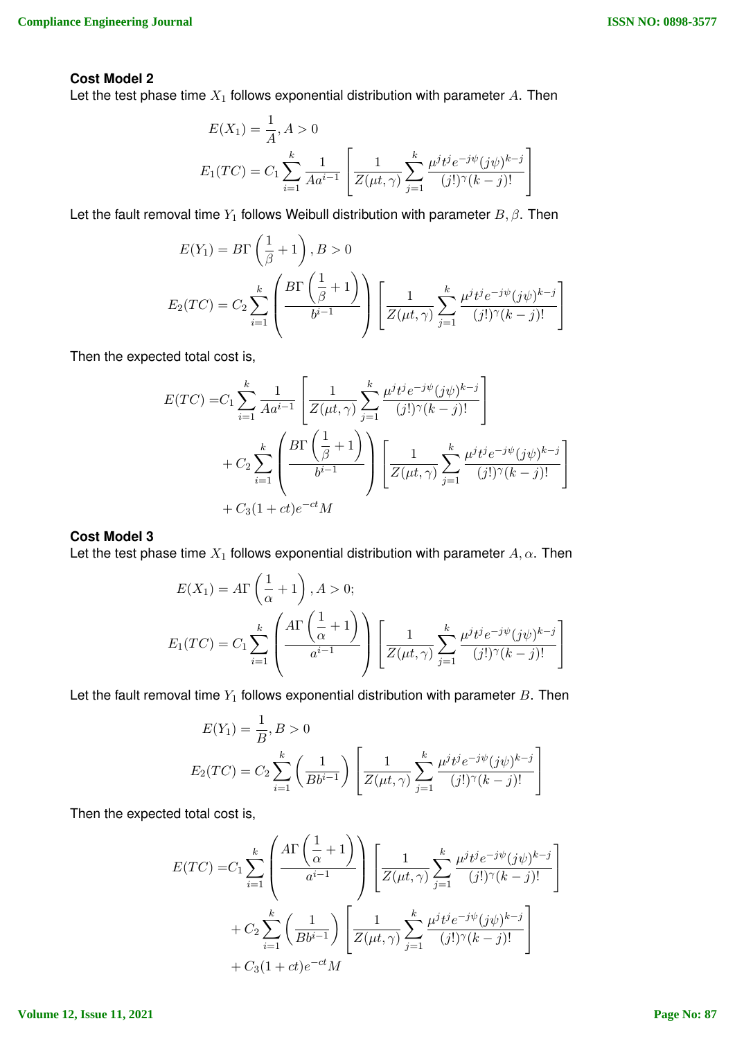## **Cost Model 2**

Let the test phase time  $X_1$  follows exponential distribution with parameter  $A$ . Then

$$
E(X_1) = \frac{1}{A}, A > 0
$$
  
\n
$$
E_1(TC) = C_1 \sum_{i=1}^k \frac{1}{Aa^{i-1}} \left[ \frac{1}{Z(\mu t, \gamma)} \sum_{j=1}^k \frac{\mu^j t^j e^{-j\psi} (j\psi)^{k-j}}{(j!)^{\gamma} (k-j)!} \right]
$$

Let the fault removal time  $Y_1$  follows Weibull distribution with parameter  $B, \beta$ . Then

$$
E(Y_1) = B\Gamma\left(\frac{1}{\beta} + 1\right), B > 0
$$
  

$$
E_2(TC) = C_2 \sum_{i=1}^k \left(\frac{B\Gamma\left(\frac{1}{\beta} + 1\right)}{b^{i-1}}\right) \left[\frac{1}{Z(\mu t, \gamma)} \sum_{j=1}^k \frac{\mu^j t^j e^{-j\psi}(j\psi)^{k-j}}{(j!)^{\gamma}(k-j)!}\right]
$$

Then the expected total cost is,

$$
E(TC) = C_1 \sum_{i=1}^{k} \frac{1}{Aa^{i-1}} \left[ \frac{1}{Z(\mu t, \gamma)} \sum_{j=1}^{k} \frac{\mu^{j} t^{j} e^{-j\psi} (j\psi)^{k-j}}{(j!)^{\gamma} (k-j)!} \right] + C_2 \sum_{i=1}^{k} \left( \frac{B\Gamma\left(\frac{1}{\beta} + 1\right)}{b^{i-1}} \right) \left[ \frac{1}{Z(\mu t, \gamma)} \sum_{j=1}^{k} \frac{\mu^{j} t^{j} e^{-j\psi} (j\psi)^{k-j}}{(j!)^{\gamma} (k-j)!} \right] + C_3 (1 + ct) e^{-ct} M
$$

# **Cost Model 3**

Let the test phase time  $X_1$  follows exponential distribution with parameter  $A, \alpha$ . Then

$$
E(X_1) = A\Gamma\left(\frac{1}{\alpha} + 1\right), A > 0;
$$
  

$$
E_1(TC) = C_1 \sum_{i=1}^k \left(\frac{A\Gamma\left(\frac{1}{\alpha} + 1\right)}{a^{i-1}}\right) \left[\frac{1}{Z(\mu t, \gamma)} \sum_{j=1}^k \frac{\mu^j t^j e^{-j\psi}(j\psi)^{k-j}}{(j!)^{\gamma}(k-j)!}\right]
$$

Let the fault removal time  $Y_1$  follows exponential distribution with parameter  $B$ . Then

$$
E(Y_1) = \frac{1}{B}, B > 0
$$
  
\n
$$
E_2(TC) = C_2 \sum_{i=1}^k \left(\frac{1}{Bb^{i-1}}\right) \left[\frac{1}{Z(\mu t, \gamma)} \sum_{j=1}^k \frac{\mu^j t^j e^{-j\psi} (j\psi)^{k-j}}{(j!)^{\gamma} (k-j)!}\right]
$$

Then the expected total cost is,

$$
E(TC) = C_1 \sum_{i=1}^{k} \left( \frac{A\Gamma\left(\frac{1}{\alpha} + 1\right)}{a^{i-1}} \right) \left[ \frac{1}{Z(\mu t, \gamma)} \sum_{j=1}^{k} \frac{\mu^{j} t^{j} e^{-j\psi} (j\psi)^{k-j}}{(j!)^{\gamma} (k-j)!} \right] + C_2 \sum_{i=1}^{k} \left( \frac{1}{Bb^{i-1}} \right) \left[ \frac{1}{Z(\mu t, \gamma)} \sum_{j=1}^{k} \frac{\mu^{j} t^{j} e^{-j\psi} (j\psi)^{k-j}}{(j!)^{\gamma} (k-j)!} \right] + C_3 (1 + ct) e^{-ct} M
$$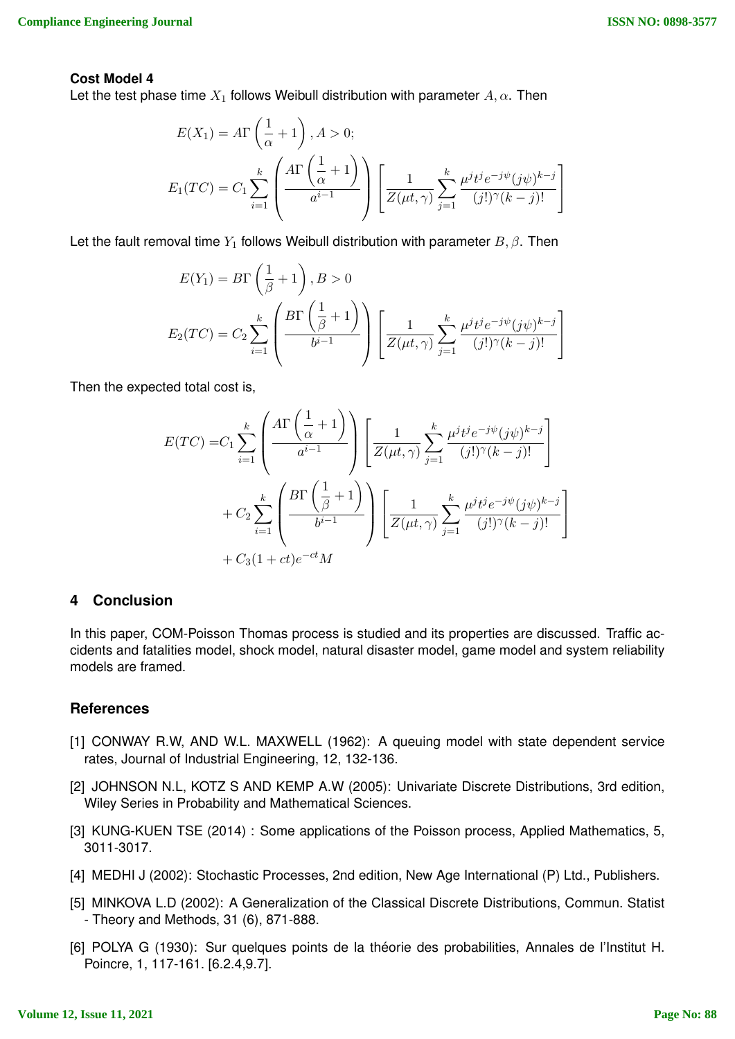#### **Cost Model 4**

Let the test phase time  $X_1$  follows Weibull distribution with parameter  $A, \alpha$ . Then

$$
E(X_1) = A\Gamma\left(\frac{1}{\alpha} + 1\right), A > 0;
$$
  

$$
E_1(TC) = C_1 \sum_{i=1}^k \left(\frac{A\Gamma\left(\frac{1}{\alpha} + 1\right)}{a^{i-1}}\right) \left[\frac{1}{Z(\mu t, \gamma)} \sum_{j=1}^k \frac{\mu^j t^j e^{-j\psi}(j\psi)^{k-j}}{(j!)^{\gamma}(k-j)!}\right]
$$

Let the fault removal time  $Y_1$  follows Weibull distribution with parameter  $B, \beta$ . Then

$$
E(Y_1) = B\Gamma\left(\frac{1}{\beta} + 1\right), B > 0
$$
  

$$
E_2(TC) = C_2 \sum_{i=1}^k \left(\frac{B\Gamma\left(\frac{1}{\beta} + 1\right)}{b^{i-1}}\right) \left[\frac{1}{Z(\mu t, \gamma)} \sum_{j=1}^k \frac{\mu^j t^j e^{-j\psi}(j\psi)^{k-j}}{(j!)^{\gamma}(k-j)!}\right]
$$

Then the expected total cost is,

$$
E(TC) = C_1 \sum_{i=1}^k \left( \frac{A\Gamma\left(\frac{1}{\alpha}+1\right)}{a^{i-1}} \right) \left[ \frac{1}{Z(\mu t, \gamma)} \sum_{j=1}^k \frac{\mu^j t^j e^{-j\psi} (j\psi)^{k-j}}{(j!)^{\gamma} (k-j)!} \right] + C_2 \sum_{i=1}^k \left( \frac{B\Gamma\left(\frac{1}{\beta}+1\right)}{b^{i-1}} \right) \left[ \frac{1}{Z(\mu t, \gamma)} \sum_{j=1}^k \frac{\mu^j t^j e^{-j\psi} (j\psi)^{k-j}}{(j!)^{\gamma} (k-j)!} \right] + C_3 (1+ct) e^{-ct} M
$$

### **4 Conclusion**

In this paper, COM-Poisson Thomas process is studied and its properties are discussed. Traffic accidents and fatalities model, shock model, natural disaster model, game model and system reliability models are framed.

## **References**

- [1] CONWAY R.W, AND W.L. MAXWELL (1962): A queuing model with state dependent service rates, Journal of Industrial Engineering, 12, 132-136.
- [2] JOHNSON N.L, KOTZ S AND KEMP A.W (2005): Univariate Discrete Distributions, 3rd edition, Wiley Series in Probability and Mathematical Sciences.
- [3] KUNG-KUEN TSE (2014) : Some applications of the Poisson process, Applied Mathematics, 5, 3011-3017.
- [4] MEDHI J (2002): Stochastic Processes, 2nd edition, New Age International (P) Ltd., Publishers.
- [5] MINKOVA L.D (2002): A Generalization of the Classical Discrete Distributions, Commun. Statist - Theory and Methods, 31 (6), 871-888.
- [6] POLYA G (1930): Sur quelques points de la théorie des probabilities, Annales de l'Institut H. Poincre, 1, 117-161. [6.2.4,9.7].